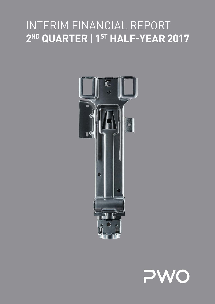



## INTERIM CINI  $IN$  in  $\vdash$   $\vdash$  interiments to the interimental statements. REPORT OF THE SUPERVISORY BOARD'S AUDIT COMMITTEE 2<sup>ND</sup> QUARTER | 1<sup>ST</sup> HALF-YEAR 2017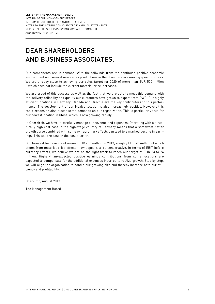# DEAR SHAREHOLDERS AND BUSINESS ASSOCIATES,

Our components are in demand. With the tailwinds from the continued positive economic environment and several new series productions in the Group, we are making great progress. We are already close to achieving our sales target for 2020 of more than EUR 500 million – which does not include the current material price increases.

We are proud of this success as well as the fact that we are able to meet this demand with the delivery reliability and quality our customers have grown to expect from PWO. Our highly efficient locations in Germany, Canada and Czechia are the key contributors to this performance. The development of our Mexico location is also increasingly positive. However, this rapid expansion also places some demands on our organization. This is particularly true for our newest location in China, which is now growing rapidly.

In Oberkirch, we have to carefully manage our revenue and expenses. Operating with a structurally high cost base in the high-wage country of Germany means that a somewhat flatter growth curve combined with some extraordinary effects can lead to a marked decline in earnings. This was the case in the past quarter.

Our forecast for revenue of around EUR 450 million in 2017, roughly EUR 20 million of which stems from material price effects, now appears to be conservative. In terms of EBIT before currency effects, we believe we are on the right track to reach our target of EUR 23 to 24 million. Higher-than-expected positive earnings contributions from some locations are expected to compensate for the additional expenses incurred to realize growth. Step by step, we will align the organization to handle our growing size and thereby increase both our efficiency and profitability.

Oberkirch, August 2017

The Management Board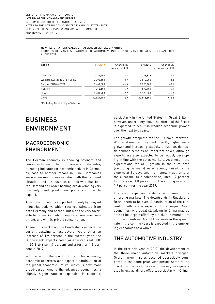#### NEW REGISTRATIONS/SALES OF PASSENGER VEHICLES IN UNITS

(SOURCES: GERMAN ASSOCIATION OF THE AUTOMOTIVE INDUSTRY, GERMAN FEDERAL MOTOR TRANSPORT **AUTHORITY** 

| Region                            | 6M 2017    | Change vs.<br>previous year (%) | 6M 2016    | Change vs.<br>previous year (%) |
|-----------------------------------|------------|---------------------------------|------------|---------------------------------|
| Germany                           | 1,787,100  | $+3.1$                          | 1,733,839  | $+7.1$                          |
| Western Europe (EU15 + EFTA)      | 7,793,500  | $+3.7$                          | 7,510,800  | $+8.5$                          |
| Europe (EU28 + EFTA) <sup>1</sup> | 8,461,500  | $+4.6$                          | 8,090,900  | $+9.1$                          |
| Russia <sup>2</sup>               | 718,500    | $+6.9$                          | 672,100    | $-14.1$                         |
| USA <sup>2</sup>                  | 8,401,700  | $-2.2$                          | 8,598,300  | $+1.3$                          |
| China                             | 10,929,100 | $+2.9$                          | 10,618,600 | $+12.2$                         |

1 Excluding Malta | 2 Light Vehicles

# BUSINESS ENVIRONMENT

### MACROECONOMIC ENVIRONMENT

The German economy is showing strength and continues to soar. The ifo business climate index, a leading indicator for economic activity in Germany, rose to another record in June. Companies were again much more satisfied with their current situation, and the business outlook was also better. Demand and order backlog are developing very positively, and production plans continue to expand.

This upward trend is supported not only by buoyant industrial activity, which receives stimulus from both Germany and abroad, but also the very favorable labor market, which supports consumer sentiment, and with it, private consumption.

Against this backdrop, the Bundesbank expects the current upswing to last several years. After an increase of 1.9 percent in the current year, the Bundesbank expects calendar-adjusted real GDP in 2018 to rise 1.7 percent and a further 1.6 percent in 2019.

With regard to the growth of the global economy, economic observers also expect a continuation of the global economic upturn, which is now more broad-based. Among the advanced economies, a slightly higher rate of expansion is expected,

particularly in the United States. In Great Britain, however, uncertainty about the effects of the Brexit is expected to result in weaker economic growth over the next two years.

The growth prospects for the EU have improved. With sustained employment growth, higher wage growth and increasing capacity utilization, domestic demand remains an important driver, although exports are also expected to be robust, developing in line with the sales markets. As a result, the expectations for GDP growth in the euro area (excluding Germany) were recently raised by the experts at Eurosystem, the monetary authority of the eurozone, to a calendar-adjusted 1.9 percent for this year, 1.8 percent for the coming year and 1.7 percent for the year 2019.

The rate of expansion is also strengthening in the emerging markets. The downtrends in Russia and Brazil seem to be over. A continuation of the current growth rate is expected for emerging Asian economies. A gradual slowdown in China may be able to be largely offset by a pickup in momentum in other countries. A slight increase in the growth rate in the coming years is expected in the emerging economies as a whole.

### THE AUTOMOTIVE INDUSTRY

In the first half-year of 2017, the development of the three major automotive markets diverged. Overall, growth rates declined appreciably compared to the same prior-year period. Some of the growth in the previous year, however, was generated by extraordinary effects, particularly in China.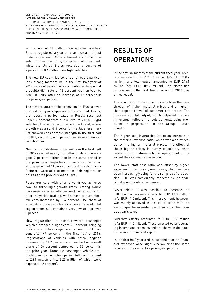With a total of 7.8 million new vehicles, Western Europe registered a year-on-year increase of just under 4 percent. China achieved a volume of a solid 10.9 million units, for growth of 3 percent, while the United States recorded a decline of 2 percent to 8.4 million new light vehicles.

The new EU countries continue to report particularly strong momentum. In the first half-year of 2017, sales of passenger cars continued to grow at a double-digit rate of 12 percent year-on-year to 688,000 units, after an increase of 17 percent in the prior-year period.

The severe automobile recession in Russia over the last few years appears to have ended. During the reporting period, sales in Russia rose just under 7 percent from a low level to 718,500 light vehicles. The same could be seen in Brazil, where growth was a solid 4 percent. The Japanese market showed considerable strength in the first half of 2017, recording a 10 percent increase in new car registrations.

New car registrations in Germany in the first half of 2017 reached nearly 1.8 million units and were a good 3 percent higher than in the same period in the prior year. Importers in particular recorded strong growth of 11 percent, while domestic manufacturers were able to maintain their registration figures at the previous year's level.

Passenger cars with alternative drives achieved two- to three-digit growth rates. Among hybrid passenger vehicles (+82 percent), registrations for plug-in hybrids doubled, while those of pure electric cars increased by 134 percent. The share of alternative drive vehicles as a percentage of total registrations still remained very low at just over 2 percent.

New registrations of diesel-powered passenger vehicles dropped a significant 9.1 percent, bringing their share of total registrations down to 41 percent after 47 percent in the first half of 2016. Registrations of vehicles with petrol engines increased by 11.7 percent and reached an overall share of 56 percent compared to 52 percent in the prior year. Domestic passenger vehicle production in the reporting period fell by 3 percent to 2.94 million units, 2.25 million of which were exported (–2 percent).

# RESULTS OF **OPERATIONS**

In the first six months of the current fiscal year, revenue increased to EUR 233.1 million (p/y: EUR 208.7 million), and total output amounted to EUR 244.1 million (p/y: EUR 209.9 million). The distribution of revenue in the first two quarters of 2017 was almost equal.

The strong growth continued to come from the pass through of higher material prices and a higherthan-expected level of customer call orders. The increase in total output, which outpaced the rise in revenue, reflects the tools currently being produced in preparation for the Group's future growth.

The higher tool inventories led to an increase in the material expense ratio, which was also affected by the higher material prices. The effect of these higher prices is purely calculatory when passed on to customers but is operational to the extent they cannot be passed on.

The lower staff cost ratio was offset by higher expenses for temporary employees, which we have been increasingly using for the ramp-up of production. EBIT was particularly impacted by the additional growth-related expenses.

Nevertheless, it was possible to increase the EBIT before currency effects to EUR 12.3 million (p/y: EUR 11.5 million). This improvement, however, was mainly achieved in the first quarter, with the second quarter essentially unchanged at the previous year's level.

Currency effects amounted to EUR –1.9 million (p/y: EUR –1.5 million). These affected other operating income and expenses and are shown in the notes to this interim financial report.

In the first half-year and the second quarter, financial expenses were slightly below or at the same level as in the respective prior-year periods.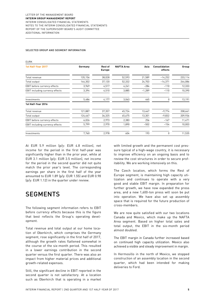#### SELECTED GROUP AND SEGMENT INFORMATION

| <b>EURK</b>                     |         |                          |                   |          |                          |         |
|---------------------------------|---------|--------------------------|-------------------|----------|--------------------------|---------|
| 1st Half-Year 2017              | Germany | Rest of<br><b>Europe</b> | <b>NAFTA Area</b> | Asia     | Consolidation<br>effects | Group   |
| Total revenue                   | 135,156 | 38,028                   | 52,593            | 21,589   | $-14,252$                | 233,114 |
| Total output                    | 144,302 | 37,120                   | 52,332            | 24,703   | $-14,371$                | 244,086 |
| EBIT before currency effects    | 3,969   | 4,517                    | 4,241             | $-284$   | $-110$                   | 12,333  |
| EBIT including currency effects | 3,394   | 4,510                    | 3,885             | $-1,289$ | $-110$                   | 10,390  |
| Investments                     | 5,486   | 4,177                    | 3,063             | 465      | 0                        | 13,191  |
| 1st Half-Year 2016              |         |                          |                   |          |                          |         |
| Total revenue                   | 121,887 | 37,357                   | 45,724            | 13,467   | $-9,774$                 | 208,661 |
| Total output                    | 124,467 | 36,325                   | 45,675            | 13,301   | $-9,832$                 | 209,936 |
| EBIT before currency effects    | 6,026   | 2,973                    | 2,383             | 256      | $-167$                   | 11,471  |
| EBIT including currency effects | 5,799   | 2,970                    | 1,890             | $-502$   | $-154$                   | 10,003  |
| Investments                     | 7,760   | 2,978                    | 604               | 193      | 0                        | 11,535  |

At EUR 5.9 million (p/y: EUR 4.8 million), net income for the period in the first half-year was significantly higher than in the prior year, while at EUR 3.1 million (p/y: EUR 3.5 million), net income for the period in the second quarter did not quite match the prior year's level. The corresponding earnings per share in the first half of the year amounted to EUR 1.89 (p/y: EUR 1.55) and EUR 0.98 (p/y: EUR 1.12) in the quarter under review.

## **SEGMENTS**

The following segment information refers to EBIT before currency effects because this is the figure that best reflects the Group's operating development.

Total revenue and total output at our home location of Oberkirch, which comprises the Germany segment, rose significantly in the first half of 2017, although the growth rates flattened somewhat in the course of the six-month period. This resulted in a lower earnings contribution in the second quarter versus the first quarter. There was also an impact from higher material prices and additional growth-related expenses.

Still, the significant decline in EBIT reported in the second quarter is not satisfactory. At a location such as Oberkirch that is operating in a market

with limited growth and the permanent cost pressure typical of a high-wage country, it is necessary to improve efficiency on an ongoing basis and to review the cost structures in order to secure profitability. We are working intensively on this.

The Czech location, which forms the Rest of Europe segment, is maintaining high capacity utilization and continues to operate with a very good and stable EBIT margin. In preparation for further growth, we have now expanded the press area, and a new 1,600-ton press will soon be put into operation. We have also set up assembly space that is required for the future production of cross-members.

We are now quite satisfied with our two locations Canada and Mexico, which make up the NAFTA Area segment. Based on higher total sales and total output, the EBIT in the six-month period almost doubled.

The EBIT margin in Canada further increased based on continued high capacity utilization. Mexico also achieved a visible and steady improvement in margin.

In Hermosillo in the north of Mexico, we stopped construction of an assembly location in the second quarter, which had been intended for making deliveries to Ford.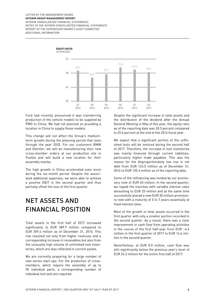

Ford had recently announced it was transferring production of the vehicle models to be supplied by PWO to China. We had not planned on providing a location in China to supply these models.

This change will not affect the Group's mediumterm growth during the planning period that lasts through the year 2020. For our customers BMW and Daimler, we will be manufacturing their new cross-member orders at our production site in Puebla and will build a new location for their assembly nearby.

The high growth in China accelerated even more during the six-month period. Despite the associated additional expenses, we were able to achieve a positive EBIT in the second quarter and thus partially offset the loss of the first quarter.

# NET ASSETS AND FINANCIAL POSITION

Total assets in the first half of 2017 increased significantly to EUR 389.9 million compared to EUR 359.4 million as of December 31, 2016. This rise resulted not only from higher revenues and a corresponding increase in receivables but also from the unusually high volume of unfinished tool inventories, which are also reflected in current assets.

We are currently preparing for a large number of new series start-ups. For the production of crossmembers, which require the assembly of up to 55 individual parts, a corresponding number of individual tool sets are required.

Despite the significant increase in total assets and the distribution of the dividend after the Annual General Meeting in May of this year, the equity ratio as of the reporting date was 28.3 percent compared to 29.6 percent at the end of the 2016 fiscal year.

We expect that a significant portion of the unfinished tools will be invoiced during the second half of 2017. Therefore, the increase in tool inventories was mainly financed through current liabilities, particularly higher trade payables. This was the reason for the disproportionately low rise in net debt from EUR 124.5 million as of December 31, 2016 to EUR 135.4 million as of the reporting date.

Some of the refinancing was funded by our promissory note of EUR 65 million. In the second quarter, we repaid the tranches with variable interest rates amounting to EUR 25 million and at the same time successfully placed a new EUR 30 million promissory note with a maturity of 5 to 7 years essentially at fixed interest rates.

Most of the growth in total assets occurred in the first quarter with only a smaller portion recorded in the second quarter. As a result, there was a clear improvement in cash flow from operating activities in the course of the first half-year from EUR –6.6 million in the first quarter of 2017 to EUR 14.6 million in the second quarter.

Nevertheless, at EUR 8.0 million, cash flow was still significantly below the previous year's level of EUR 24.3 million for the entire first half of 2017.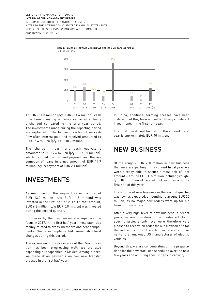IN EUR MILLION



#### **NEW BUSINESS (LIFETIME VOLUME OF SERIES AND TOOL ORDERS)**

At EUR –11.3 million (p/y: EUR –11.4 million), cash flow from investing activities remained virtually unchanged compared to the prior-year period. The investments made during the reporting period are explained in the following section. Free cash flow after interest paid and received amounted to EUR –5.4 million (p/y: EUR 10.9 million).

The change in cash and cash equivalents amounted to EUR 7.6 million (p/y: EUR 3.9 million), which included the dividend payment and the assumption of loans in a net amount of EUR 17.9 million (p/y: repayment of EUR 2.1 million).

## INVESTMENTS

As mentioned in the segment report, a total of EUR 13.2 million (p/y: EUR 11.5 million) was invested in the first half of 2017. Of that amount, EUR 6.3 million (p/y: EUR 5.8 million) was invested during the second quarter.

In Oberkirch, the new series start-ups are the focus in 2017. In the first half-year, these start-ups mainly related to cross-members and seat components. We also implemented some structural changes during this period.

The expansion of the press area at the Czech location has been progressing well. We are also expanding our capacities in Mexico. Among others, we made down payments on two new transfer presses in the first half-year.

In China, additional forming presses have been ordered, but they have not yet led to any significant investments in the first half-year.

The total investment budget for the current fiscal year is approximately EUR 40 million.

## NEW BUSINESS

Of the roughly EUR 250 million in new business that we are expecting in the current fiscal year, we were already able to secure almost half of that amount – around EUR 115 million including roughly EUR 5 million of related tool volumes – in the first half of this year.

The volume of new business in the second quarter was low, as expected, amounting to around EUR 25 million, as no major new orders were up for bid from our customers.

After a very high level of new business in recent years, we are now directing our sales efforts to specific projects only. We were therefore very pleased to receive an order for our Mexican site for the indirect supply of electromechanical components to a renowned US manufacturer of electric vehicles.

Beyond this, we are concentrating on the preparations for the new start-ups scheduled over the next few years and on filling specific gaps in capacity.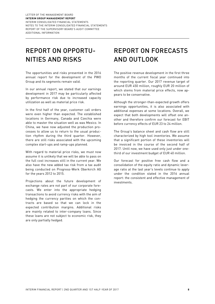# REPORT ON OPPORTU-NITIES AND RISKS

The opportunities and risks presented in the 2016 annual report for the development of the PWO Group and its segments remain valid.

In our annual report, we stated that our earnings development in 2017 may be particularly affected by performance risk due to increased capacity utilization as well as material price risk.

In the first half of the year, customer call orders were even higher than expected. The established locations in Germany, Canada and Czechia were able to master the situation well as was Mexico. In China, we have now adjusted the production processes to allow us to return to the usual production rhythm during the third quarter. However, there are still risks associated with the upcoming complex start-ups and ramp-ups planned.

With regard to material price risks, we must now assume it is unlikely that we will be able to pass on the full cost increases still in the current year. We also have the new added tax risk from a tax audit being conducted on Progress-Werk Oberkirch AG for the years 2012 to 2015.

Projections about the future development of exchange rates are not part of our corporate forecasts. We enter into the appropriate hedging transactions to avoid currency risks with the aim of hedging the currency parities on which the contracts are based so that we can lock in the expected contribution margins. Additional risks are mainly related to inter-company loans. Since these loans are not subject to economic risk, they are only partially hedged.

# REPORT ON FORECASTS AND OUTLOOK

The positive revenue development in the first three months of the current fiscal year continued into the reporting quarter. Our 2017 revenue target of around EUR 450 million, roughly EUR 20 million of which stems from material price effects, now appears to be conservative.

Although the stronger-than-expected growth offers earnings opportunities, it is also associated with additional expenses at some locations. Overall, we expect that both developments will offset one another and therefore confirm our forecast for EBIT before currency effects of EUR 23 to 24 million.

The Group's balance sheet and cash flow are still characterized by high tool inventories. We assume that a significant portion of these inventories will be invoiced in the course of the second half of 2017. Until now, we have used only just under onethird of our investment budget of EUR 40 million.

Our forecast for positive free cash flow and a consolidation of the equity ratio and dynamic leverage ratio at the last year's levels continue to apply under the condition stated in the 2016 annual report: the consistent and effective management of investments.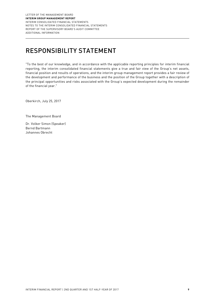# RESPONSIBILITY STATEMENT

"To the best of our knowledge, and in accordance with the applicable reporting principles for interim financial reporting, the interim consolidated financial statements give a true and fair view of the Group's net assets, financial position and results of operations, and the interim group management report provides a fair review of the development and performance of the business and the position of the Group together with a description of the principal opportunities and risks associated with the Group's expected development during the remainder of the financial year."

Oberkirch, July 25, 2017

The Management Board

Dr. Volker Simon (Speaker) Bernd Bartmann Johannes Obrecht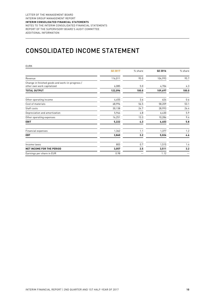# CONSOLIDATED INCOME STATEMENT

| <b>EURK</b>                                                                   |         |         |         |         |
|-------------------------------------------------------------------------------|---------|---------|---------|---------|
|                                                                               | Q2 2017 | % share | Q2 2016 | % share |
| Revenue                                                                       | 116,011 | 95.0    | 104,993 | 95.7    |
| Change in finished goods and work-in-progress /<br>other own work capitalized | 6,085   | 5.0     | 4,704   | 4.3     |
| <b>TOTAL OUTPUT</b>                                                           | 122,096 | 100.0   | 109,697 | 100.0   |
| Other operating income                                                        | 4,455   | 3.6     | 624     | 0.6     |
| Cost of materials                                                             | 68,996  | 56.5    | 58,209  | 53.1    |
| Staff costs                                                                   | 30,138  | 24.7    | 28,993  | 26.4    |
| Depreciation and amortization                                                 | 5,944   | 4.8     | 6,430   | 5.9     |
| Other operating expenses                                                      | 16,251  | 13.3    | 10,286  | 9.4     |
| <b>EBIT</b>                                                                   | 5,222   | 4.3     | 6,403   | 5.8     |
| <b>Financial expenses</b>                                                     | 1,362   | 1.1     | 1,377   | 1.2     |
| <b>EBT</b>                                                                    | 3,860   | 3.2     | 5,026   | 4.6     |
| Income taxes                                                                  | 803     | 0.7     | 1,515   | 1.4     |
| NET INCOME FOR THE PERIOD                                                     | 3,057   | 2.5     | 3,511   | 3.2     |
| Earnings per share in EUR                                                     | 0.98    |         | 1.12    |         |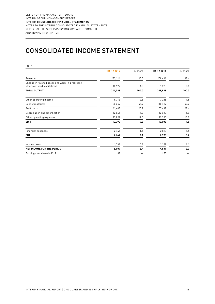# CONSOLIDATED INCOME STATEMENT

| <b>EURK</b>                                                                   |             |         |             |         |
|-------------------------------------------------------------------------------|-------------|---------|-------------|---------|
|                                                                               | 1st HY 2017 | % share | 1st HY 2016 | % share |
| Revenue                                                                       | 233,114     | 95.5    | 208,661     | 99.4    |
| Change in finished goods and work-in-progress /<br>other own work capitalized | 10,972      | 4.5     | 1,275       | 0.6     |
| <b>TOTAL OUTPUT</b>                                                           | 244,086     | 100.0   | 209,936     | 100.0   |
| Other operating income                                                        | 6,313       | 2.6     | 3,286       | 1.6     |
| Cost of materials                                                             | 136,459     | 55.9    | 110,717     | 52.7    |
| Staff costs                                                                   | 61,608      | 25.2    | 57,492      | 27.4    |
| Depreciation and amortization                                                 | 12,045      | 4.9     | 12,620      | 6.0     |
| Other operating expenses                                                      | 29,897      | 12.3    | 22,390      | 10.7    |
| <b>EBIT</b>                                                                   | 10,390      | 4.3     | 10,003      | 4.8     |
| <b>Financial expenses</b>                                                     | 2,741       | 1.1     | 2,813       | 1.4     |
| <b>EBT</b>                                                                    | 7,649       | 3.1     | 7,190       | 3.4     |
| Income taxes                                                                  | 1,742       | 0.7     | 2,359       | 1.1     |
| NET INCOME FOR THE PERIOD                                                     | 5,907       | 2.4     | 4,831       | 2.3     |
| Earnings per share in EUR                                                     | 1.89        |         | 1.55        |         |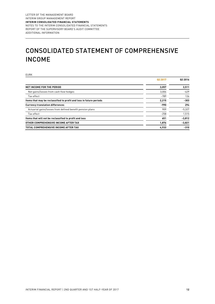# CONSOLIDATED STATEMENT OF COMPREHENSIVE INCOME

| <b>EURK</b>                                                         |                     |                     |
|---------------------------------------------------------------------|---------------------|---------------------|
|                                                                     | Q <sub>2</sub> 2017 | Q <sub>2</sub> 2016 |
| <b>NET INCOME FOR THE PERIOD</b>                                    | 3,057               | 3,511               |
| Net gains/losses from cash flow hedges                              | 3,004               | $-429$              |
| Tax effect                                                          | $-789$              | 126                 |
| Items that may be reclassified to profit and loss in future periods | 2,215               | -303                |
| <b>Currency translation differences</b>                             | -990                | 294                 |
| Actuarial gains/losses from defined benefit pension plans           | 909                 | $-5,327$            |
| Tax effect                                                          | $-258$              | 1,515               |
| Items that will not be reclassified to profit and loss              | 651                 | $-3,812$            |
| OTHER COMPREHENSIVE INCOME AFTER TAX                                | 1,876               | $-3,821$            |
| TOTAL COMPREHENSIVE INCOME AFTER TAX                                | 4,933               | $-310$              |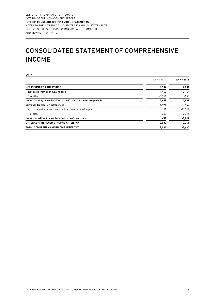# CONSOLIDATED STATEMENT OF COMPREHENSIVE INCOME

| <b>EURK</b>                                                         |             |             |
|---------------------------------------------------------------------|-------------|-------------|
|                                                                     | 1st HY 2017 | 1st HY 2016 |
| <b>NET INCOME FOR THE PERIOD</b>                                    | 5,907       | 4,831       |
| Net gains from cash flow hedges                                     | 4,960       | 2,744       |
| Tax effect                                                          | $-1,351$    | $-745$      |
| Items that may be reclassified to profit and loss in future periods | 3,609       | 1,999       |
| <b>Currency translation differences</b>                             | $-1,171$    | $-163$      |
| Actuarial gains/losses from defined benefit pension plans           | 909         | $-12,711$   |
| Tax effect                                                          | $-258$      | 3,614       |
| Items that will not be reclassified to profit and loss              | 651         | $-9,097$    |
| OTHER COMPREHENSIVE INCOME AFTER TAX                                | 3,089       | $-7,261$    |
| TOTAL COMPREHENSIVE INCOME AFTER TAX                                | 8,996       | $-2,430$    |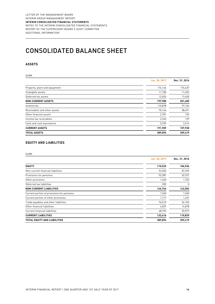# CONSOLIDATED BALANCE SHEET

#### **ASSETS**

| <b>EURK</b>                   |               |               |
|-------------------------------|---------------|---------------|
|                               | Jun. 30, 2017 | Dec. 31, 2016 |
| Property, plant and equipment | 174,146       | 176,637       |
| Intangible assets             | 11,185        | 11,452        |
| Deferred tax assets           | 12,654        | 13,400        |
| <b>NON-CURRENT ASSETS</b>     | 197,985       | 201,489       |
| Inventories                   | 110,878       | 97,104        |
| Receivables and other assets  | 70,146        | 58,491        |
| Other financial assets        | 2,701         | 192           |
| Income tax receivables        | 2,245         | 129           |
| Cash and cash equivalents     | 5,939         | 2,014         |
| <b>CURRENT ASSETS</b>         | 191,909       | 157,930       |
| <b>TOTAL ASSETS</b>           | 389,894       | 359,419       |

#### **EQUITY AND LIABILITIES**

EURK

|                                            | Jun. 30, 2017 | Dec. 31, 2016 |
|--------------------------------------------|---------------|---------------|
| <b>EQUITY</b>                              | 110,532       | 106,536       |
| Non-current financial liabilities          | 92,503        | 87,395        |
| Provisions for pensions                    | 52,387        | 52,927        |
| Other provisions                           | 1,653         | 1,732         |
| Deferred tax liabilities                   | 203           | 0             |
| <b>NON-CURRENT LIABILITIES</b>             | 146,746       | 142,054       |
| Current portion of provisions for pensions | 1,540         | 1,540         |
| Current portion of other provisions        | 1,717         | 1,231         |
| Trade payables and other liabilities       | 76,510        | 54,103        |
| Other financial liabilities                | 4,057         | 14,878        |
| Current financial liabilities              | 48,792        | 39,077        |
| <b>CURRENT LIABILITIES</b>                 | 132,616       | 110,829       |
| <b>TOTAL EQUITY AND LIABILITIES</b>        | 389,894       | 359,419       |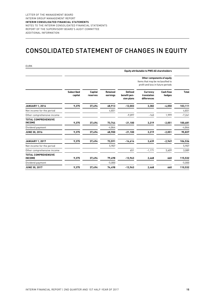## CONSOLIDATED STATEMENT OF CHANGES IN EQUITY

EURK

|                                             |                              |                     |                             |                                              | <b>Equity attributable to PWO AG shareholders</b>                                                    |                            |              |
|---------------------------------------------|------------------------------|---------------------|-----------------------------|----------------------------------------------|------------------------------------------------------------------------------------------------------|----------------------------|--------------|
|                                             |                              |                     |                             |                                              | Other components of equity<br>Items that may be reclassified to<br>profit and loss in future periods |                            |              |
|                                             | <b>Subscribed</b><br>capital | Capital<br>reserves | <b>Retained</b><br>earnings | <b>Defined</b><br>benefit pen-<br>sion plans | <b>Currency</b><br>translation<br>differences                                                        | <b>Cash flow</b><br>hedges | <b>Total</b> |
| <b>JANUARY 1, 2016</b>                      | 9,375                        | 37,494              | 68,913                      | $-12,003$                                    | 3,382                                                                                                | $-4,050$                   | 103,111      |
| Net income for the period                   |                              |                     | 4,831                       |                                              |                                                                                                      |                            | 4,831        |
| Other comprehensive income                  |                              |                     |                             | $-9,097$                                     | $-163$                                                                                               | 1,999                      | $-7,261$     |
| <b>TOTAL COMPREHENSIVE</b><br><b>INCOME</b> | 9,375                        | 37,494              | 73,744                      | $-21,100$                                    | 3,219                                                                                                | $-2,051$                   | 100,681      |
| Dividend payment                            |                              |                     | $-4,844$                    |                                              |                                                                                                      |                            | $-4,844$     |
| <b>JUNE 30, 2016</b>                        | 9,375                        | 37,494              | 68,900                      | $-21,100$                                    | 3,219                                                                                                | $-2,051$                   | 95,837       |
| <b>JANUARY 1, 2017</b>                      | 9,375                        | 37,494              | 73,591                      | $-14,614$                                    | 3,639                                                                                                | $-2,949$                   | 106,536      |
| Net income for the period                   |                              |                     | 5,907                       |                                              |                                                                                                      |                            | 5,907        |
| Other comprehensive income                  |                              |                     |                             | 651                                          | $-1,171$                                                                                             | 3,609                      | 3,089        |
| <b>TOTAL COMPREHENSIVE</b><br><b>INCOME</b> | 9,375                        | 37,494              | 79,498                      | $-13,963$                                    | 2,468                                                                                                | 660                        | 115,532      |
| Dividend payment                            |                              |                     | $-5,000$                    |                                              |                                                                                                      |                            | $-5,000$     |
| <b>JUNE 30, 2017</b>                        | 9,375                        | 37,494              | 74,498                      | $-13,963$                                    | 2,468                                                                                                | 660                        | 110.532      |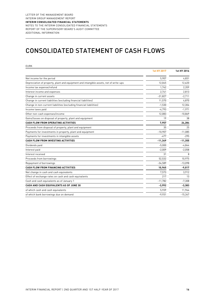## CONSOLIDATED STATEMENT OF CASH FLOWS

| <b>EURK</b>                                                                           |                    |             |
|---------------------------------------------------------------------------------------|--------------------|-------------|
|                                                                                       | <b>1st HY 2017</b> | 1st HY 2016 |
| Net income for the period                                                             | 5,907              | 4,831       |
| Depreciation of property, plant and equipment and intangible assets, net of write-ups | 12,045             | 12,620      |
| Income tax expense/refund                                                             | 1.742              | 2,359       |
| Interest income and expenses                                                          | 2,741              | 2,813       |
| Change in current assets                                                              | $-31,827$          | $-2,711$    |
| Change in current liabilities (excluding financial liabilities)                       | 11,570             | 4,870       |
| Change in non-current liabilities (excluding financial liabilities)                   | $-1,530$           | 12,304      |
| Income taxes paid                                                                     | $-4,793$           | $-1,971$    |
| Other non-cash expenses/income                                                        | 12.083             | $-10.869$   |
| Gains/losses on disposal of property, plant and equipment                             | 19                 | 38          |
| <b>CASH FLOW FROM OPERATING ACTIVITIES</b>                                            | 7,957              | 24,284      |
| Proceeds from disposal of property, plant and equipment                               | 35                 | 25          |
| Payments for investments in property, plant and equipment                             | $-10.907$          | $-11.085$   |
| Payments for investments in intangible assets                                         | $-477$             | $-295$      |
| CASH FLOW FROM INVESTING ACTIVITIES                                                   | $-11,349$          | $-11,355$   |
| Dividends paid                                                                        | $-5,000$           | $-4,844$    |
| Interest paid                                                                         | $-2,009$           | $-2,058$    |
| Interest received                                                                     | 31                 | 8           |
| Proceeds from borrowings                                                              | 52,532             | 10,975      |
| Repayment of borrowings                                                               | $-34,589$          | $-13,098$   |
| <b>CASH FLOW FROM FINANCING ACTIVITIES</b>                                            | 10,965             | $-9,017$    |
| Net change in cash and cash equivalents                                               | 7,573              | 3,912       |
| Effect of exchange rates on cash and cash equivalents                                 | 217                | 13          |
| Cash and cash equivalents as of January 1                                             | $-11.782$          | $-7,308$    |
| CASH AND CASH EQUIVALENTS AS OF JUNE 30                                               | $-3,992$           | $-3,383$    |
| of which cash and cash equivalents                                                    | 5,939              | 11,964      |
| of which bank borrowings due on demand                                                | $-9,931$           | $-15,347$   |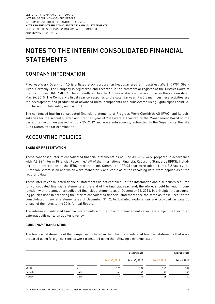# NOTES TO THE INTERIM CONSOLIDATED FINANCIAL STATEMENTS

### COMPANY INFORMATION

Progress-Werk Oberkirch AG is a listed stock corporation headquartered at Industriestraße 8, 77704 Oberkirch, Germany. The Company is registered and recorded in the commercial register of the District Court of Freiburg under HRB 490007. The currently applicable Articles of Association are those in the version dated May 26, 2015. The Company's fiscal year corresponds to the calendar year. PWO's main business activities are the development and production of advanced metal components and subsystems using lightweight construction for automobile safety and comfort.

The condensed interim consolidated financial statements of Progress-Werk Oberkirch AG (PWO) and its subsidiaries for the second quarter and first half-year of 2017 were authorized by the Management Board on the basis of a resolution passed on July 25, 2017 and were subsequently submitted to the Supervisory Board's Audit Committee for examination.

### ACCOUNTING POLICIES

#### **BASIS OF PRESENTATION**

These condensed interim consolidated financial statements as of June 30, 2017 were prepared in accordance with IAS 34 "Interim Financial Reporting." All of the International Financial Reporting Standards (IFRS), including the interpretation of the IFRS Interpretations Committee (IFRIC) that were adopted into EU law by the European Commission and which were mandatorily applicable as of the reporting date, were applied as of the reporting date.

These interim consolidated financial statements do not contain all of the information and disclosures required for consolidated financial statements at the end of the financial year, and, therefore, should be read in conjunction with the annual consolidated financial statements as of December 31, 2016. In principle, the accounting policies used in preparing the interim consolidated financial statements are the same as those used for the consolidated financial statements as of December 31, 2016. Detailed explanations are provided on page 70 et sqq. of the notes to the 2016 Annual Report.

The interim consolidated financial statements and the interim management report are subject neither to an external audit nor to an auditor's review.

#### **CURRENCY TRANSLATION**

The financial statements of the companies included in the interim consolidated financial statements that were prepared using foreign currencies were translated using the following exchange rates:

|        |            |               | <b>Closing rate</b> |             | Average rate |
|--------|------------|---------------|---------------------|-------------|--------------|
|        |            | Jun. 30, 2017 | Jun. 30, 2016       | 1st HY 2017 | 1st HY 2016  |
| China  | CNY        | 7.74          | 7.38                | 7.44        | 7.29         |
| Canada | CAD        | 1.48          | 1.44                | 1.44        | 1.49         |
| Mexico | <b>USD</b> | 1.14          | 1.11                | 1.08        | 1.12         |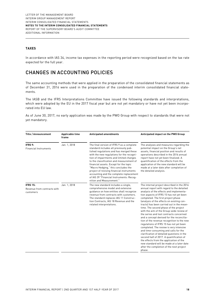#### **TAXES**

In accordance with IAS 34, income tax expenses in the reporting period were recognized based on the tax rate expected for the full year.

### CHANGES IN ACCOUNTING POLICIES

The same accounting methods that were applied in the preparation of the consolidated financial statements as of December 31, 2016 were used in the preparation of the condensed interim consolidated financial statements.

The IASB and the IFRS Interpretations Committee have issued the following standards and interpretations, which were adopted by the EU in the 2017 fiscal year but are not yet mandatory or have not yet been incorporated into EU law.

As of June 30, 2017, no early application was made by the PWO Group with respect to standards that were not yet mandatory.

| Title / Announcement                                        | Applicable time<br>frame | <b>Anticipated amendments</b>                                                                                                                                                                                                                                                                                                                                                                                                                                                                                      | Anticipated impact on the PWO Group                                                                                                                                                                                                                                                                                                                                                                                                                                                                                                                                                                                                                                                                                                                                                                                                                                                                             |
|-------------------------------------------------------------|--------------------------|--------------------------------------------------------------------------------------------------------------------------------------------------------------------------------------------------------------------------------------------------------------------------------------------------------------------------------------------------------------------------------------------------------------------------------------------------------------------------------------------------------------------|-----------------------------------------------------------------------------------------------------------------------------------------------------------------------------------------------------------------------------------------------------------------------------------------------------------------------------------------------------------------------------------------------------------------------------------------------------------------------------------------------------------------------------------------------------------------------------------------------------------------------------------------------------------------------------------------------------------------------------------------------------------------------------------------------------------------------------------------------------------------------------------------------------------------|
| IFRS 9:<br><b>Financial Instruments</b>                     | Jan. 1, 2018             | The final version of IFRS 9 as a complete<br>standard includes all previously pub-<br>lished regulations and has merged these<br>with the new regulations for the recogni-<br>tion of impairments and limited changes<br>to the classification and measurement of<br>financial assets. Except for the topic<br>"Macro Hedging," this concludes the<br>project of revising financial instruments<br>accounting and the complete replacement<br>of IAS 39 "Financial Instruments: Recog-<br>nition and Measurement." | The analyses and measures regarding the<br>potential impact on the Group's net<br>assets, financial position and results of<br>operations described in the 2016 annual<br>report have not yet been finalized. A<br>quantification of the effects from the<br>application of the new standard will be<br>made at a later date after completion of<br>the detailed analysis.                                                                                                                                                                                                                                                                                                                                                                                                                                                                                                                                      |
| <b>IFRS 15:</b><br>Revenue from contracts with<br>customers | Jan. 1. 2018             | The new standard includes a single,<br>comprehensive model and extensive<br>quidance on how entities shall recognize<br>revenue from contracts with customers.<br>The standard replaces IAS 11 Construc-<br>tion Contracts, IAS 18 Revenue and the<br>related interpretations.                                                                                                                                                                                                                                     | The internal project described in the 2016<br>annual report with regard to the detailed<br>analysis of the effects and implementa-<br>tion aspects of IFRS 15 has not yet been<br>completed. The first project phase<br>(analysis of the effects on existing con-<br>tracts) has been carried out in the mean-<br>time. The second phase of the project<br>with the aim of the Group-wide review of<br>the series and tool contracts concerned<br>and a concept devised for the reconcilia-<br>tion of the revenue recognition to the new<br>regulations of IFRS 15 has not yet been<br>completed. The review is very intensive<br>and time-consuming and calls for the<br>clarification of detailed questions in the<br>second half of 2017. A quantification of<br>the effects from the application of the<br>new standard will be made at a later date<br>after the completion of the next project<br>phase. |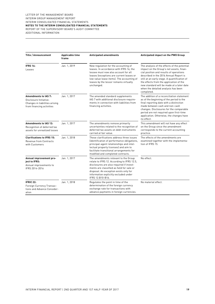| Title / Announcement                                                                                          | Applicable time<br>frame | <b>Anticipated amendments</b>                                                                                                                                                                                                                                                     | Anticipated impact on the PWO Group                                                                                                                                                                                                                                                                                                                                        |  |  |
|---------------------------------------------------------------------------------------------------------------|--------------------------|-----------------------------------------------------------------------------------------------------------------------------------------------------------------------------------------------------------------------------------------------------------------------------------|----------------------------------------------------------------------------------------------------------------------------------------------------------------------------------------------------------------------------------------------------------------------------------------------------------------------------------------------------------------------------|--|--|
| <b>IFRS 16:</b><br>Leases                                                                                     | Jan. 1, 2019             | New regulation for the accounting of<br>leases. In accordance with IFRS 16, the<br>lessee must now also account for all<br>leases (exceptions are current leases or<br>low-value lease items). The accounting of<br>leases by the lessor remains virtually<br>unchanged.          | The analysis of the effects of the potential<br>impact on the Group's net assets, finan-<br>cial position and results of operations<br>described in the 2016 Annual Report is<br>still at an early stage. A quantification of<br>the effects from the application of the<br>new standard will be made at a later date<br>when the detailed analysis has been<br>completed. |  |  |
| Amendments to IAS 7:<br>Disclosure Initiative:<br>Changes in liabilities arising<br>from financing activities | Jan. 1, 2017             | The amended standard supplements<br>IAS 7 with additional disclosure require-<br>ments in connection with liabilities from<br>financing activities.                                                                                                                               | The addition of a reconciliation statement<br>as of the beginning of the period to the<br>final reporting date with a distinction<br>made between cash and non-cash<br>changes. Disclosures for the comparable<br>period are not required upon first-time<br>application. Otherwise, the changes have<br>no effect.                                                        |  |  |
| <b>Amendments to IAS 12:</b><br>Recognition of deferred tax<br>assets for unrealized losses                   | Jan. 1, 2017             | The amendments remove primarily<br>uncertainties related to the recognition of<br>deferred tax assets on debt instruments<br>carried at fair value.                                                                                                                               | This amendment will not have any effect<br>on the Group since the amendment<br>corresponds to the current accounting<br>practice.                                                                                                                                                                                                                                          |  |  |
| <b>Clarifications to IFRS 15:</b><br>Revenue from Contracts<br>with Customers                                 | Jan. 1, 2018             | These clarifications address three issues<br>(identification of performance obligations,<br>principal-agent relationships and intel-<br>lectual property licenses) and aim to<br>facilitate transitional arrangements for<br>modified and completed contracts.                    | The effects of the amendments are<br>examined together with the implementa-<br>tion of IFRS 15.                                                                                                                                                                                                                                                                            |  |  |
| Annual improvement pro-<br>iect to IFRS:<br>Annual improvements to<br>IFRS 2014-2016                          | Jan. 1, 2017             | The amendments relevant to the Group<br>relate to IFRS 12. According to IFRS 12.5,<br>disclosures are also required if invest-<br>ments are classified as held for sale or<br>disposal. An exception exists only for<br>information explicitly excluded under<br>IFRS 12.B10-B16. | No effect.                                                                                                                                                                                                                                                                                                                                                                 |  |  |
| IFRIC 22:<br>Foreign Currency Transac-<br>tions and Advance Consider-<br>ation                                | Jan. 1, 2018             | Regulates the point in time of the<br>determination of the foreign currency<br>exchange rate for transactions with<br>advance payments in foreign currencies.                                                                                                                     | No material effect.                                                                                                                                                                                                                                                                                                                                                        |  |  |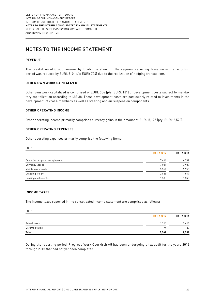## NOTES TO THE INCOME STATEMENT

#### **REVENUE**

The breakdown of Group revenue by location is shown in the segment reporting. Revenue in the reporting period was reduced by EURk 510 (p/y: EURk 724) due to the realization of hedging transactions.

#### **OTHER OWN WORK CAPITALIZED**

Other own work capitalized is comprised of EURk 306 (p/y: EURk 181) of development costs subject to mandatory capitalization according to IAS 38. These development costs are particularly related to investments in the development of cross-members as well as steering and air suspension components.

#### **OTHER OPERATING INCOME**

Other operating income primarily comprises currency gains in the amount of EURk 5,125 (p/y: EURk 2,520).

#### **OTHER OPERATING EXPENSES**

Other operating expenses primarily comprise the following items:

| <b>LVIVI</b>                  |             |             |
|-------------------------------|-------------|-------------|
|                               | 1st HY 2017 | 1st HY 2016 |
| Costs for temporary employees | 7,464       | 6,242       |
| Currency losses               | 7,051       | 3,987       |
| Maintenance costs             | 3.354       | 2,963       |
| Outgoing freight              | 2,829       | 1,517       |
| Leasing costs/rents           | 1,585       | 1,345       |
|                               |             |             |

#### **INCOME TAXES**

The income taxes reported in the consolidated income statement are comprised as follows:

EURK

EURK

|                | 1st HY 2017 | 1st HY 2016 |
|----------------|-------------|-------------|
| Actual taxes   | 1,916       | 2,416       |
| Deferred taxes | $-174$      | $-57$       |
| <b>Total</b>   | 1,742       | 2,359       |

During the reporting period, Progress-Werk Oberkirch AG has been undergoing a tax audit for the years 2012 through 2015 that had not yet been completed.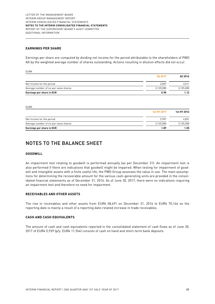#### **EARNINGS PER SHARE**

Earnings per share are computed by dividing net income for the period attributable to the shareholders of PWO AG by the weighted average number of shares outstanding. Actions resulting in dilution effects did not occur.

EURK

|                                       | Q <sub>2</sub> 2017 | Q <sub>2</sub> 2016 |
|---------------------------------------|---------------------|---------------------|
| Net income for the period             | 3.057               | 3,511               |
| Average number of no-par value shares | 3.125.000           | 3,125,000           |
| Earnings per share in EUR             | 0.98                | 1.12                |

EURK

|                                       | 1st HY 2017 | 1st HY 2016 |
|---------------------------------------|-------------|-------------|
| Net income for the period             | 5.907       | 4,831       |
| Average number of no-par value shares | 3.125.000   | 3,125,000   |
| Earnings per share in EUR             | 1.89        | 1.55        |

### NOTES TO THE BALANCE SHEET

#### **GOODWILL**

An impairment test relating to goodwill is performed annually (as per December 31). An impairment test is also performed if there are indications that goodwill might be impaired. When testing for impairment of goodwill and intangible assets with a finite useful life, the PWO Group assesses the value in use. The main assumptions for determining the recoverable amount for the various cash-generating units are provided in the consolidated financial statements as of December 31, 2016. As of June 30, 2017, there were no indications requiring an impairment test and therefore no need for impairment.

#### **RECEIVABLES AND OTHER ASSETS**

The rise in receivables and other assets from EURk 58,491 on December 31, 2016 to EURk 70,146 on the reporting date is mainly a result of a reporting date-related increase in trade receivables.

#### **CASH AND CASH EQUIVALENTS**

The amount of cash and cash equivalents reported in the consolidated statement of cash flows as of June 30, 2017 of EURk 5,939 (p/y: EURk 11,964) consists of cash on hand and short-term bank deposits.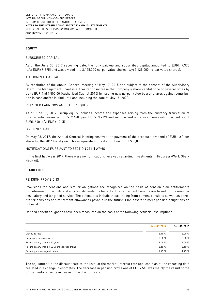#### **EQUITY**

#### SUBSCRIBED CAPITAL

As of the June 30, 2017 reporting date, the fully paid-up and subscribed capital amounted to EURk 9,375 (p/y: EURk 9,375) and was divided into 3,125,000 no-par value shares (p/y: 3,125,000 no-par value shares).

#### AUTHORIZED CAPITAL

By resolution of the Annual General Meeting of May 19, 2015 and subject to the consent of the Supervisory Board, the Management Board is authorized to increase the Company's share capital once or several times by up to EUR 4,687,500.00 (Authorized Capital 2015) by issuing new no-par value bearer shares against contribution in cash and/or in kind until and including the date of May 18, 2020.

#### RETAINED EARNINGS AND OTHER EQUITY

As of June 30, 2017, Group equity includes income and expenses arising from the currency translation of foreign subsidiaries of EURk 2,468 (p/y: EURk 3,219) and income and expenses from cash flow hedges of EURk 660 (p/y: EURk –2,051).

#### DIVIDENDS PAID

On May 23, 2017, the Annual General Meeting resolved the payment of the proposed dividend of EUR 1.60 per share for the 2016 fiscal year. This is equivalent to a distribution of EURk 5,000.

#### NOTIFICATIONS PURSUANT TO SECTION 21 (1) WPHG

In the first half-year 2017, there were no notifications received regarding investments in Progress-Werk Oberkirch AG.

#### **LIABILITIES**

#### PENSION PROVISIONS

Provisions for pensions and similar obligations are recognized on the basis of pension plan entitlements for retirement, invalidity and survivor dependent's benefits. The retirement benefits are based on the employees' salary and length of service. The obligations include those arising from current pensions as well as benefits for pensions and retirement allowances payable in the future. Plan assets to meet pension obligations do not exist.

Defined benefit obligations have been measured on the basis of the following actuarial assumptions:

|                                               | Jun. 30, 2017 | Dec. 31, 2016 |
|-----------------------------------------------|---------------|---------------|
| Discount rate                                 | 2.10%         | 2.00%         |
| Employee turnover rate                        | 2.50%         | 2.50%         |
| Future salary trend > 40 years                | 2.50%         | 2.50%         |
| Future salary trend < 40 years (career trend) | 3.50%         | 3.50%         |
| Future pension adjustments                    | 1.75%         | 1.75 %        |

The adjustment in the discount rate to the level of the market interest rate applicable as of the reporting date resulted in a change in estimates. The decrease in pension provisions of EURk 540 was mainly the result of the 0.1 percentage points increase in the discount rate.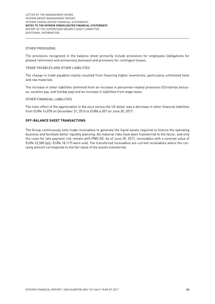#### OTHER PROVISIONS

The provisions recognized in the balance sheet primarily include provisions for employees (obligations for phased retirement and anniversary bonuses) and provisions for contingent losses.

#### TRADE PAYABLES AND OTHER LIABILITIES

The change in trade payables mainly resulted from financing higher inventories, particularly unfinished tools and raw materials.

The increase in other liabilities stemmed from an increase in personnel-related provisions (Christmas bonuses, vacation pay, and holiday pay) and an increase in liabilities from wage taxes.

#### OTHER FINANCIAL LIABILITIES

The main effect of the appreciation in the euro versus the US dollar was a decrease in other financial liabilities from EURk 14,878 on December 31, 2016 to EURk 4,057 on June 30, 2017.

#### **OFF-BALANCE SHEET TRANSACTIONS**

The Group continuously sells trade receivables to generate the liquid assets required to finance the operating business and facilitate better liquidity planning. All material risks have been transferred to the factor, and only the costs for late payment risk remain with PWO AG. As of June 30, 2017, receivables with a nominal value of EURk 22,580 (p/y: EURk 18,117) were sold. The transferred receivables are current receivables where the carrying amount corresponds to the fair value of the assets transferred.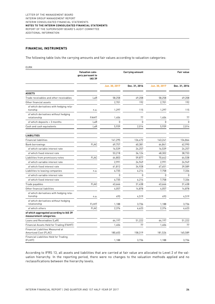#### **FINANCIAL INSTRUMENTS**

The following table lists the carrying amounts and fair values according to valuation categories:

EURK

|                                                                    | <b>Valuation cate-</b><br>gory pursuant to<br><b>IAS 39</b> |               | <b>Carrying amount</b> |               | <b>Fair value</b> |
|--------------------------------------------------------------------|-------------------------------------------------------------|---------------|------------------------|---------------|-------------------|
|                                                                    |                                                             | Jun. 30, 2017 | Dec. 31, 2016          | Jun. 30, 2017 | Dec. 31, 2016     |
| <b>ASSETS</b>                                                      |                                                             |               |                        |               |                   |
| Trade receivables and other receivables                            | LaR                                                         | 58,258        | 49,208                 | 58,258        | 49,208            |
| Other financial assets                                             |                                                             | 2,701         | 192                    | 2,701         | 192               |
| of which derivatives with hedging rela-<br>tionship                | n.a.                                                        | 1,297         | 115                    | 1,297         | 115               |
| of which derivatives without hedging<br>relationship               | <b>FAHfT</b>                                                | 1,404         | 77                     | 1,404         | 77                |
| of which deposits > 3 months                                       | LaR                                                         | 0             | 0                      | 0             | $\mathbf{0}$      |
| Cash and cash equivalents                                          | LaR                                                         | 5,939         | 2,014                  | 5,939         | 2,014             |
| <b>LIABILITIES</b>                                                 |                                                             |               |                        |               |                   |
| <b>Financial liabilities</b>                                       |                                                             | 141,295       | 126,472                | 143,241       | 134,864           |
| Bank borrowings                                                    | <b>FLAC</b>                                                 | 69,757        | 60,381                 | 64,841        | 62,990            |
| of which variable interest rate                                    |                                                             | 16,539        | 24,257                 | 16,539        | 24,257            |
| of which fixed interest rate                                       |                                                             | 53,218        | 36.124                 | 48,302        | 38,733            |
| Liabilities from promissory notes                                  | <b>FLAC</b>                                                 | 64,803        | 59,877                 | 70.642        | 64,538            |
| of which variable interest rate                                    |                                                             | 2,991         | 24,949                 | 2,991         | 24,949            |
| of which fixed interest rate                                       |                                                             | 61,812        | 34,928                 | 67,651        | 39,589            |
| Liabilities to leasing companies                                   | n.a.                                                        | 6,735         | 6,214                  | 7,758         | 7,336             |
| of which variable interest rate                                    |                                                             | $\Omega$      | 0                      | 0             | $\Omega$          |
| of which fixed interest rate                                       |                                                             | 6,735         | 6,214                  | 7,758         | 7,336             |
| Trade payables                                                     | <b>FLAC</b>                                                 | 43,666        | 31,438                 | 43,666        | 31,438            |
| Other financial liabilities                                        |                                                             | 4,057         | 14,878                 | 4,057         | 14,878            |
| of which derivatives with hedging rela-<br>tionship                | n.a.                                                        | 493           | 4,519                  | 493           | 4,519             |
| of which derivatives without hedging<br>relationship               | <b>FLHfT</b>                                                | 1,188         | 3,736                  | 1,188         | 3,736             |
| of which others                                                    | <b>FLAC</b>                                                 | 2,376         | 6,623                  | 2,376         | 6,623             |
| of which aggregated according to IAS 39<br>measurement categories: |                                                             |               |                        |               |                   |
| Loans and Receivables (LaR)                                        |                                                             | 64,197        | 51,222                 | 64,197        | 51,222            |
| Financial Assets Held for Trading (FAHfT)                          |                                                             | 1,404         | 77                     | 1,404         | 77                |
| Financial Liabilities Measured at<br>Amortized Cost (FLAC)         |                                                             | 180,603       | 158,319                | 181,526       | 165,589           |
| <b>Financial Liabilities Held for Trading</b><br>(FLHfT)           |                                                             | 1,188         | 3,736                  | 1,188         | 3,736             |

According to IFRS 13, all assets and liabilities that are carried at fair value are allocated to Level 2 of the valuation hierarchy. In the reporting period, there were no changes to the valuation methods applied and no reclassifications between the hierarchy levels.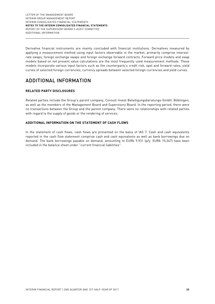Derivative financial instruments are mainly concluded with financial institutions. Derivatives measured by applying a measurement method using input factors observable in the market, primarily comprise interestrate swaps, foreign exchange swaps and foreign exchange forward contracts. Forward price models and swap models based on net present value calculations are the most frequently used measurement methods. These models incorporate various input factors such as the counterparty's credit risk, spot and forward rates, yield curves of selected foreign currencies, currency spreads between selected foreign currencies and yield curves.

### ADDITIONAL INFORMATION

#### **RELATED PARTY DISCLOSURES**

Related parties include the Group's parent company, Consult Invest Beteiligungsberatungs-GmbH, Böblingen, as well as the members of the Management Board and Supervisory Board. In the reporting period, there were no transactions between the Group and the parent company. There were no relationships with related parties with regard to the supply of goods or the rendering of services.

#### **ADDITIONAL INFORMATION ON THE STATEMENT OF CASH FLOWS**

In the statement of cash flows, cash flows are presented on the basis of IAS 7. Cash and cash equivalents reported in the cash flow statement comprise cash and cash equivalents as well as bank borrowings due on demand. The bank borrowings payable on demand, amounting to EURk 9,931 (p/y: EURk 15,347) have been included in the balance sheet under "current financial liabilities".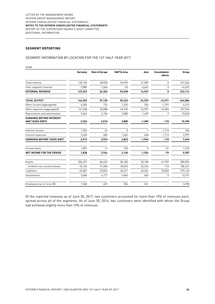#### **SEGMENT REPORTING**

#### SEGMENT INFORMATION BY LOCATION FOR THE 1ST HALF-YEAR 2017

| <b>EURK</b>                                                |          |                       |                   |          |                                 |           |
|------------------------------------------------------------|----------|-----------------------|-------------------|----------|---------------------------------|-----------|
|                                                            | Germany  | <b>Rest of Europe</b> | <b>NAFTA Area</b> | Asia     | <b>Consolidation</b><br>effects | Group     |
| Total revenue                                              | 135,156  | 38,028                | 52,593            | 21,589   | $\Omega$                        | 247,366   |
| Inter-segment revenue                                      | $-7,889$ | $-1,666$              | $-55$             | $-4,642$ | 0                               | $-14,252$ |
| <b>EXTERNAL REVENUE</b>                                    | 127,267  | 36,362                | 52,538            | 16,947   | 0                               | 233,114   |
| <b>TOTAL OUTPUT</b>                                        | 144,302  | 37,120                | 52,332            | 24,703   | $-14,371$                       | 244,086   |
| Other income (aggregated)                                  | 6,304    | 174                   | 1,232             | 394      | $-1,791$                        | 6,313     |
| Other expenses (aggregated)                                | 141,668  | 30,588                | 46,796            | 24,957   | $-16,045$                       | 227,964   |
| Depreciation and amortization                              | 5,544    | 2,196                 | 2,883             | 1,429    | $-7$                            | 12,045    |
| <b>EARNINGS BEFORE INTEREST</b><br><b>AND TAXES (EBIT)</b> | 3,394    | 4,510                 | 3,885             | $-1,289$ | $-110$                          | 10,390    |
| Interest income                                            | 1,945    | 23                    | $\mathbf{0}$      |          | $-1,713$                        | 256       |
| Interest expenses                                          | 2,420    | 600                   | 1,042             | 648      | $-1,713$                        | 2,997     |
| <b>EARNINGS BEFORE TAXES (EBT)</b>                         | 2,919    | 3,933                 | 2,843             | $-1,936$ | $-110$                          | 7,649     |
| Income taxes                                               | 1,081    | $-11$                 | 703               | $\Omega$ | $-31$                           | 1,742     |
| NET INCOME FOR THE PERIOD                                  | 1,838    | 3,944                 | 2,140             | $-1,936$ | $-79$                           | 5,907     |
| Assets                                                     | 206,227  | 86,242                | 84,182            | 55,180   | $-41,937$                       | 389,894   |
| of which non-current assets                                | 76,156   | 47,485                | 35,076            | 26,724   | $-110$                          | 185,331   |
| Liabilities                                                | 40,687   | 35,823                | 60,471            | 65,362   | 76,820                          | 279,163   |
| Investments                                                | 5,486    | 4,177                 | 3,063             | 465      | 0                               | 13,191    |
| Employees (as of June 30)                                  | 1,568    | 653                   | 836               | 341      |                                 | 3,398     |

Of the reported revenues as of June 30, 2017, two customers accounted for more than 10% of revenues each, spread across all of the segments. As of June 30, 2016, two customers were identified with whom the Group had achieved slightly more than 10% of revenues.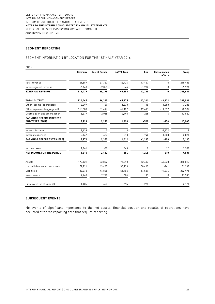#### **SEGMENT REPORTING**

#### SEGMENT INFORMATION BY LOCATION FOR THE 1ST HALF-YEAR 2016

|                                                            | Germany  | <b>Rest of Europe</b> | <b>NAFTA Area</b> | Asia     | <b>Consolidation</b><br>effects | Group    |
|------------------------------------------------------------|----------|-----------------------|-------------------|----------|---------------------------------|----------|
| Total revenue                                              | 121,887  | 37,357                | 45,724            | 13,467   | $\Omega$                        | 218,435  |
| Inter-segment revenue                                      | $-6,448$ | $-2,058$              | $-66$             | $-1,202$ | $\Omega$                        | $-9,774$ |
| <b>EXTERNAL REVENUE</b>                                    | 115,439  | 35,299                | 45,658            | 12,265   | 0                               | 208,661  |
| <b>TOTAL OUTPUT</b>                                        | 124,467  | 36,325                | 45,675            | 13,301   | $-9,832$                        | 209,936  |
| Other income (aggregated)                                  | 3,397    | 129                   | 1,330             | 118      | $-1,688$                        | 3,286    |
| Other expenses (aggregated)                                | 115,688  | 31,446                | 42,122            | 12,695   | $-11,352$                       | 190,599  |
| Depreciation and amortization                              | 6,377    | 2,038                 | 2,993             | 1,226    | $-14$                           | 12,620   |
| <b>EARNINGS BEFORE INTEREST</b><br><b>AND TAXES (EBIT)</b> | 5,799    | 2,970                 | 1,890             | $-502$   | $-154$                          | 10,003   |
| Interest income                                            | 1,639    | <sup>n</sup>          | 0                 |          | $-1,632$                        | 8        |
| Interest expenses                                          | 2.167    | 620                   | 878               | 744      | $-1,588$                        | 2,821    |
| <b>EARNINGS BEFORE TAXES (EBT)</b>                         | 5,271    | 2,350                 | 1,012             | $-1,245$ | $-198$                          | 7,190    |
| Income taxes                                               | 1,961    | $-62$                 | 448               | $\Omega$ | 12                              | 2,359    |
| <b>NET INCOME FOR THE PERIOD</b>                           | 3,310    | 2,412                 | 564               | $-1,245$ | $-210$                          | 4,831    |
| Assets                                                     | 190,421  | 83,802                | 75,390            | 52,437   | $-43,238$                       | 358,812  |
| of which non-current assets                                | 71,221   | 43,467                | 36,233            | 30,469   | $-141$                          | 181,249  |
| Liabilities                                                | 28.872   | 44,825                | 55,465            | 54,539   | 79,274                          | 262,975  |
| Investments                                                | 7,760    | 2,978                 | 604               | 193      | 0                               | 11,535   |
| Employees (as of June 30)                                  | 1,486    | 665                   | 694               | 276      |                                 | 3,121    |

#### **SUBSEQUENT EVENTS**

No events of significant importance to the net assets, financial position and results of operations have occurred after the reporting date that require reporting.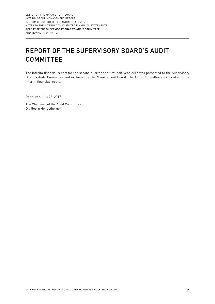# REPORT OF THE SUPERVISORY BOARD'S AUDIT **COMMITTEE**

The interim financial report for the second quarter and first half-year 2017 was presented to the Supervisory Board's Audit Committee and explained by the Management Board. The Audit Committee concurred with the interim financial report.

Oberkirch, July 26, 2017

The Chairman of the Audit Committee Dr. Georg Hengstberger